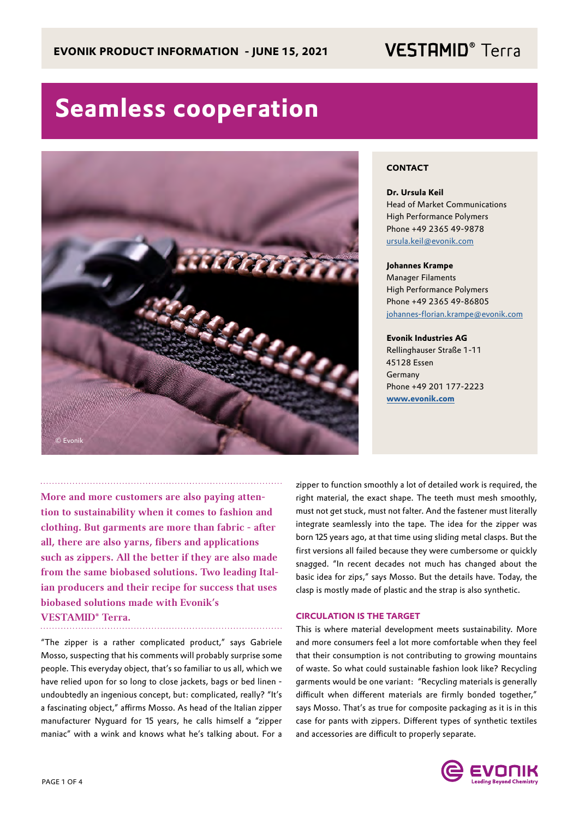## **VESTAMID®** Terra

# **Seamless cooperation**



## **CONTACT**

**Dr. Ursula Keil** Head of Market Communications High Performance Polymers Phone +49 2365 49-9878 ursula.keil@evonik.com

## **Johannes Krampe**

Manager Filaments High Performance Polymers Phone +49 2365 49-86805 johannes-florian.krampe@evonik.com

## **Evonik Industries AG**

Rellinghauser Straße 1-11 45128 Essen Germany Phone +49 201 177-2223 **www.evonik.com**

More and more customers are also paying attention to sustainability when it comes to fashion and clothing. But garments are more than fabric - after all, there are also yarns, fibers and applications such as zippers. All the better if they are also made from the same biobased solutions. Two leading Italian producers and their recipe for success that uses biobased solutions made with Evonik's VESTAMID® Terra.

"The zipper is a rather complicated product," says Gabriele Mosso, suspecting that his comments will probably surprise some people. This everyday object, that's so familiar to us all, which we have relied upon for so long to close jackets, bags or bed linen undoubtedly an ingenious concept, but: complicated, really? "It's a fascinating object," affirms Mosso. As head of the Italian zipper manufacturer Nyguard for 15 years, he calls himself a "zipper maniac" with a wink and knows what he's talking about. For a

zipper to function smoothly a lot of detailed work is required, the right material, the exact shape. The teeth must mesh smoothly, must not get stuck, must not falter. And the fastener must literally integrate seamlessly into the tape. The idea for the zipper was born 125 years ago, at that time using sliding metal clasps. But the first versions all failed because they were cumbersome or quickly snagged. "In recent decades not much has changed about the basic idea for zips," says Mosso. But the details have. Today, the clasp is mostly made of plastic and the strap is also synthetic.

### **CIRCULATION IS THE TARGET**

This is where material development meets sustainability. More and more consumers feel a lot more comfortable when they feel that their consumption is not contributing to growing mountains of waste. So what could sustainable fashion look like? Recycling garments would be one variant: "Recycling materials is generally difficult when different materials are firmly bonded together," says Mosso. That's as true for composite packaging as it is in this case for pants with zippers. Different types of synthetic textiles and accessories are difficult to properly separate.

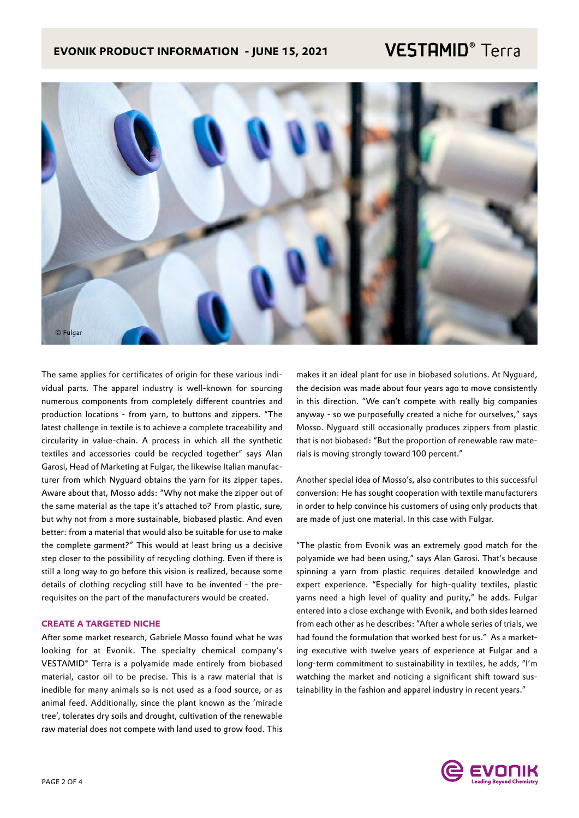## **EVONIK PRODUCT INFORMATION - JUNE 15, 2021**

## **VESTAMID®** Terra



The same applies for certificates of origin for these various individual parts. The apparel industry is well-known for sourcing numerous components from completely different countries and production locations - from yarn, to buttons and zippers. "The latest challenge in textile is to achieve a complete traceability and circularity in value-chain. A process in which all the synthetic textiles and accessories could be recycled together" says Alan Garosi, Head of Marketing at Fulgar, the likewise Italian manufacturer from which Nyguard obtains the yarn for its zipper tapes. Aware about that, Mosso adds: "Why not make the zipper out of the same material as the tape it's attached to? From plastic, sure, but why not from a more sustainable, biobased plastic. And even better: from a material that would also be suitable for use to make the complete garment?" This would at least bring us a decisive step closer to the possibility of recycling clothing. Even if there is still a long way to go before this vision is realized, because some details of clothing recycling still have to be invented - the prerequisites on the part of the manufacturers would be created.

## **CREATE A TARGETED NICHE**

After some market research, Gabriele Mosso found what he was looking for at Evonik. The specialty chemical company's VESTAMID® Terra is a polyamide made entirely from biobased material, castor oil to be precise. This is a raw material that is inedible for many animals so is not used as a food source, or as animal feed. Additionally, since the plant known as the 'miracle tree', tolerates dry soils and drought, cultivation of the renewable raw material does not compete with land used to grow food. This

makes it an ideal plant for use in biobased solutions. At Nyguard, the decision was made about four years ago to move consistently in this direction. "We can't compete with really big companies anyway - so we purposefully created a niche for ourselves," says Mosso. Nyguard still occasionally produces zippers from plastic that is not biobased: "But the proportion of renewable raw materials is moving strongly toward 100 percent."

Another special idea of Mosso's, also contributes to this successful conversion: He has sought cooperation with textile manufacturers in order to help convince his customers of using only products that are made of just one material. In this case with Fulgar.

"The plastic from Evonik was an extremely good match for the polyamide we had been using," says Alan Garosi. That's because spinning a yarn from plastic requires detailed knowledge and expert experience. "Especially for high-quality textiles, plastic yarns need a high level of quality and purity," he adds. Fulgar entered into a close exchange with Evonik, and both sides learned from each other as he describes: "After a whole series of trials, we had found the formulation that worked best for us." As a marketing executive with twelve years of experience at Fulgar and a long-term commitment to sustainability in textiles, he adds, "I'm watching the market and noticing a significant shift toward sustainability in the fashion and apparel industry in recent years."

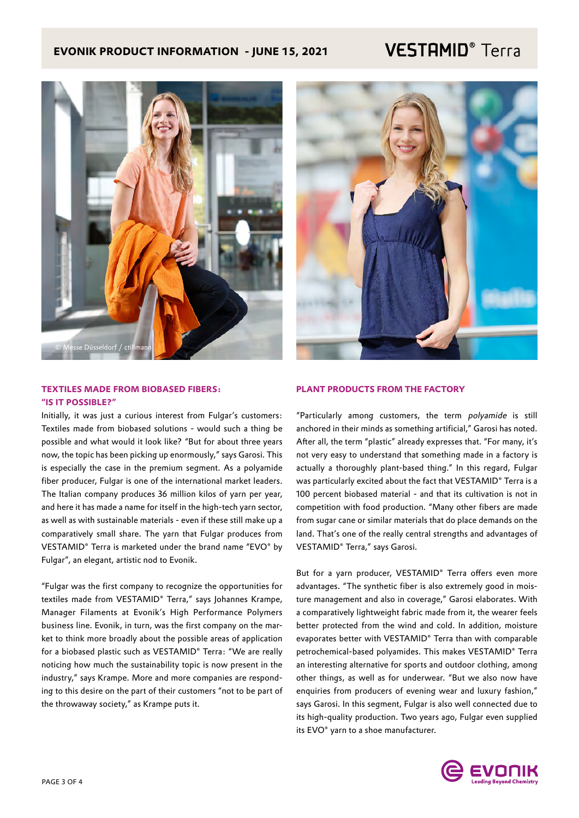## **EVONIK PRODUCT INFORMATION - JUNE 15, 2021**

## **VESTAMID®** Terra



## **TEXTILES MADE FROM BIOBASED FIBERS: "IS IT POSSIBLE?"**

Initially, it was just a curious interest from Fulgar's customers: Textiles made from biobased solutions - would such a thing be possible and what would it look like? "But for about three years now, the topic has been picking up enormously," says Garosi. This is especially the case in the premium segment. As a polyamide fiber producer, Fulgar is one of the international market leaders. The Italian company produces 36 million kilos of yarn per year, and here it has made a name for itself in the high-tech yarn sector, as well as with sustainable materials - even if these still make up a comparatively small share. The yarn that Fulgar produces from VESTAMID® Terra is marketed under the brand name "EVO® by Fulgar", an elegant, artistic nod to Evonik.

"Fulgar was the first company to recognize the opportunities for textiles made from VESTAMID® Terra," says Johannes Krampe, Manager Filaments at Evonik's High Performance Polymers business line. Evonik, in turn, was the first company on the market to think more broadly about the possible areas of application for a biobased plastic such as VESTAMID® Terra: "We are really noticing how much the sustainability topic is now present in the industry," says Krampe. More and more companies are responding to this desire on the part of their customers "not to be part of the throwaway society," as Krampe puts it.

## **PLANT PRODUCTS FROM THE FACTORY**

"Particularly among customers, the term polyamide is still anchored in their minds as something artificial," Garosi has noted. After all, the term "plastic" already expresses that. "For many, it's not very easy to understand that something made in a factory is actually a thoroughly plant-based thing." In this regard, Fulgar was particularly excited about the fact that VESTAMID® Terra is a 100 percent biobased material - and that its cultivation is not in competition with food production. "Many other fibers are made from sugar cane or similar materials that do place demands on the land. That's one of the really central strengths and advantages of VESTAMID® Terra," says Garosi.

But for a yarn producer, VESTAMID® Terra offers even more advantages. "The synthetic fiber is also extremely good in moisture management and also in coverage," Garosi elaborates. With a comparatively lightweight fabric made from it, the wearer feels better protected from the wind and cold. In addition, moisture evaporates better with VESTAMID® Terra than with comparable petrochemical-based polyamides. This makes VESTAMID® Terra an interesting alternative for sports and outdoor clothing, among other things, as well as for underwear. "But we also now have enquiries from producers of evening wear and luxury fashion," says Garosi. In this segment, Fulgar is also well connected due to its high-quality production. Two years ago, Fulgar even supplied its EVO® yarn to a shoe manufacturer.